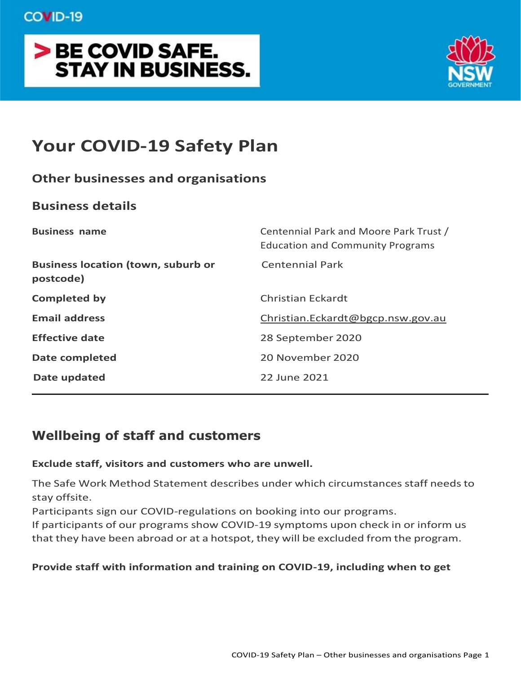# > BE COVID SAFE. **STAY IN BUSINESS.**



# **Your COVID-19 Safety Plan**

# **Other businesses and organisations**

# **Business details**

| <b>Business name</b>                                   | Centennial Park and Moore Park Trust /<br><b>Education and Community Programs</b> |
|--------------------------------------------------------|-----------------------------------------------------------------------------------|
| <b>Business location (town, suburb or</b><br>postcode) | <b>Centennial Park</b>                                                            |
| <b>Completed by</b>                                    | Christian Eckardt                                                                 |
| <b>Email address</b>                                   | Christian.Eckardt@bgcp.nsw.gov.au                                                 |
| <b>Effective date</b>                                  | 28 September 2020                                                                 |
| <b>Date completed</b>                                  | 20 November 2020                                                                  |
| Date updated                                           | 22 June 2021                                                                      |

# **Wellbeing of staff and customers**

## **Exclude staff, visitors and customers who are unwell.**

The Safe Work Method Statement describes under which circumstances staff needsto stay offsite.

Participants sign our COVID-regulations on booking into our programs.

If participants of our programs show COVID-19 symptoms upon check in or inform us that they have been abroad or at a hotspot, they will be excluded from the program.

## **Provide staff with information and training on COVID-19, including when to get**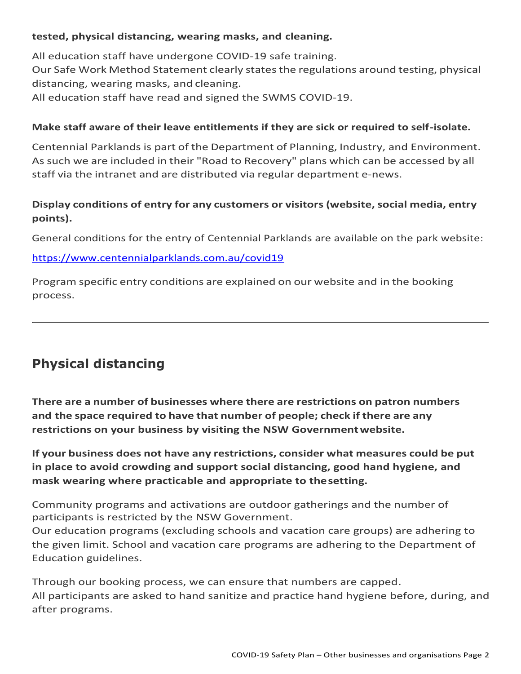#### **tested, physical distancing, wearing masks, and cleaning.**

All education staff have undergone COVID-19 safe training. Our Safe Work Method Statement clearly states the regulations around testing, physical distancing, wearing masks, and cleaning. All education staff have read and signed the SWMS COVID-19.

#### **Make staff aware of their leave entitlements if they are sick or required to self-isolate.**

Centennial Parklands is part of the Department of Planning, Industry, and Environment. Assuch we are included in their "Road to Recovery" plans which can be accessed by all staff via the intranet and are distributed via regular department e-news.

## **Display conditions of entry for any customers or visitors (website,social media, entry points).**

General conditions for the entry of Centennial Parklands are available on the park website:

#### <https://www.centennialparklands.com.au/covid19>

Program specific entry conditions are explained on our website and in the booking process.

# **Physical distancing**

**There are a number of businesses where there are restrictions on patron numbers and the space required to have that number of people; check if there are any restrictions on your business by visiting the NSW Governmentwebsite.**

**If your business does not have any restrictions, consider what measures could be put in place to avoid crowding and support social distancing, good hand hygiene, and mask wearing where practicable and appropriate to thesetting.**

Community programs and activations are outdoor gatherings and the number of participants is restricted by the NSW Government.

Our education programs (excluding schools and vacation care groups) are adhering to the given limit. School and vacation care programs are adhering to the Department of Education guidelines.

Through our booking process, we can ensure that numbers are capped. All participants are asked to hand sanitize and practice hand hygiene before, during, and after programs.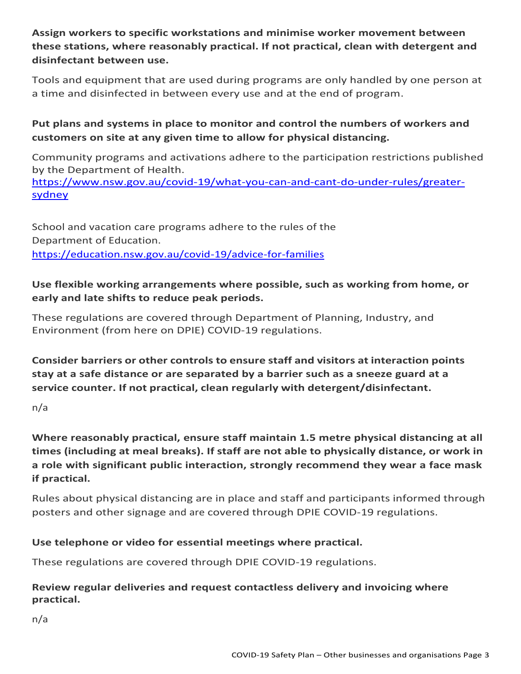**Assign workers to specific workstations and minimise worker movement between these stations, where reasonably practical. If not practical, clean with detergent and disinfectant between use.**

Tools and equipment that are used during programs are only handled by one person at a time and disinfected in between every use and at the end of program.

# **Put plans and systems in place to monitor and control the numbers of workers and customers on site at any given time to allow for physical distancing.**

Community programs and activations adhere to the participation restrictions published by the Department of Health.

[https://www.nsw.gov.au/covid-19/what-you-can-and-cant-do-under-rules/greater](https://www.nsw.gov.au/covid-19/what-you-can-and-cant-do-under-rules/greater-sydney)[sydney](https://www.nsw.gov.au/covid-19/what-you-can-and-cant-do-under-rules/greater-sydney)

School and vacation care programs adhere to the rules of the Department of Education. <https://education.nsw.gov.au/covid-19/advice-for-families>

## **Use flexible working arrangements where possible, such as working from home, or early and late shifts to reduce peak periods.**

These regulations are covered through Department of Planning, Industry, and Environment (from here on DPIE) COVID-19 regulations.

**Consider barriers or other controls to ensure staff and visitors at interaction points stay at a safe distance or are separated by a barrier such as a sneeze guard at a service counter. If not practical, clean regularly with detergent/disinfectant.**

n/a

**Where reasonably practical, ensure staff maintain 1.5 metre physical distancing at all times (including at meal breaks). If staff are not able to physically distance, or work in a role with significant public interaction, strongly recommend they wear a face mask if practical.**

Rules about physical distancing are in place and staff and participants informed through posters and other signage and are covered through DPIE COVID-19 regulations.

# **Use telephone or video for essential meetings where practical.**

These regulations are covered through DPIE COVID-19 regulations.

## **Review regular deliveries and request contactless delivery and invoicing where practical.**

n/a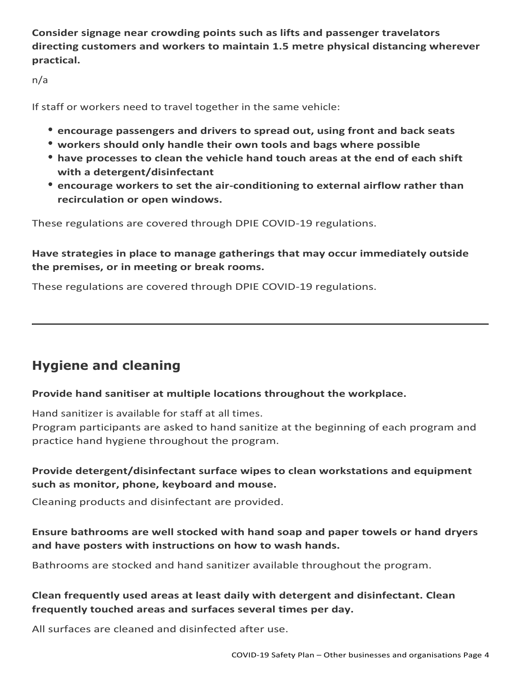**Consider signage near crowding points such as lifts and passenger travelators directing customers and workers to maintain 1.5 metre physical distancing wherever practical.**

n/a

If staff or workers need to travel together in the same vehicle:

- **encourage passengers and drivers to spread out, using front and back seats**
- **workers should only handle their own tools and bags where possible**
- **have processes to clean the vehicle hand touch areas at the end of each shift with a detergent/disinfectant**
- **encourage workers to set the air-conditioning to external airflow rather than recirculation or open windows.**

These regulations are covered through DPIE COVID-19 regulations.

**Have strategies in place to manage gatherings that may occur immediately outside the premises, or in meeting or break rooms.**

These regulations are covered through DPIE COVID-19 regulations.

# **Hygiene and cleaning**

## **Provide hand sanitiser at multiple locations throughout the workplace.**

Hand sanitizer is available for staff at all times.

Program participants are asked to hand sanitize at the beginning of each program and practice hand hygiene throughout the program.

# **Provide detergent/disinfectant surface wipes to clean workstations and equipment such as monitor, phone, keyboard and mouse.**

Cleaning products and disinfectant are provided.

## **Ensure bathrooms are well stocked with hand soap and paper towels or hand dryers and have posters with instructions on how to wash hands.**

Bathrooms are stocked and hand sanitizer available throughout the program.

# **Clean frequently used areas at least daily with detergent and disinfectant. Clean frequently touched areas and surfaces several times per day.**

All surfaces are cleaned and disinfected after use.